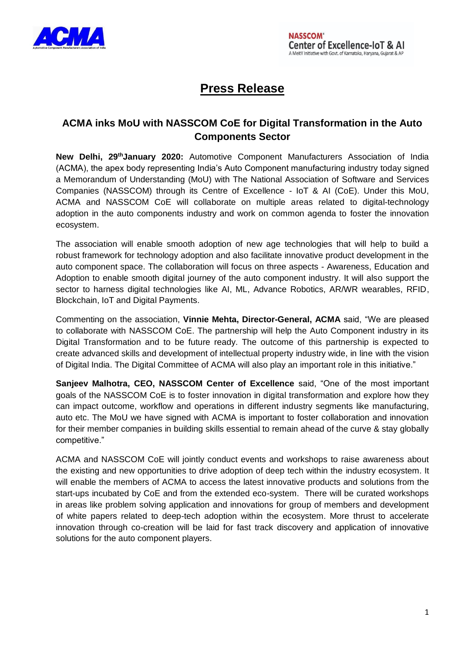

# **Press Release**

# **ACMA inks MoU with NASSCOM CoE for Digital Transformation in the Auto Components Sector**

New Delhi, 29<sup>th</sup>January 2020: Automotive Component Manufacturers Association of India (ACMA), the apex body representing India's Auto Component manufacturing industry today signed a Memorandum of Understanding (MoU) with The National Association of Software and Services Companies (NASSCOM) through its Centre of Excellence - IoT & AI (CoE). Under this MoU, ACMA and NASSCOM CoE will collaborate on multiple areas related to digital-technology adoption in the auto components industry and work on common agenda to foster the innovation ecosystem.

The association will enable smooth adoption of new age technologies that will help to build a robust framework for technology adoption and also facilitate innovative product development in the auto component space. The collaboration will focus on three aspects - Awareness, Education and Adoption to enable smooth digital journey of the auto component industry. It will also support the sector to harness digital technologies like AI, ML, Advance Robotics, AR/WR wearables, RFID, Blockchain, IoT and Digital Payments.

Commenting on the association, **Vinnie Mehta, Director-General, ACMA** said, "We are pleased to collaborate with NASSCOM CoE. The partnership will help the Auto Component industry in its Digital Transformation and to be future ready. The outcome of this partnership is expected to create advanced skills and development of intellectual property industry wide, in line with the vision of Digital India. The Digital Committee of ACMA will also play an important role in this initiative."

**Sanjeev Malhotra, CEO, NASSCOM Center of Excellence** said, "One of the most important goals of the NASSCOM CoE is to foster innovation in digital transformation and explore how they can impact outcome, workflow and operations in different industry segments like manufacturing, auto etc. The MoU we have signed with ACMA is important to foster collaboration and innovation for their member companies in building skills essential to remain ahead of the curve & stay globally competitive."

ACMA and NASSCOM CoE will jointly conduct events and workshops to raise awareness about the existing and new opportunities to drive adoption of deep tech within the industry ecosystem. It will enable the members of ACMA to access the latest innovative products and solutions from the start-ups incubated by CoE and from the extended eco-system. There will be curated workshops in areas like problem solving application and innovations for group of members and development of white papers related to deep-tech adoption within the ecosystem. More thrust to accelerate innovation through co-creation will be laid for fast track discovery and application of innovative solutions for the auto component players.